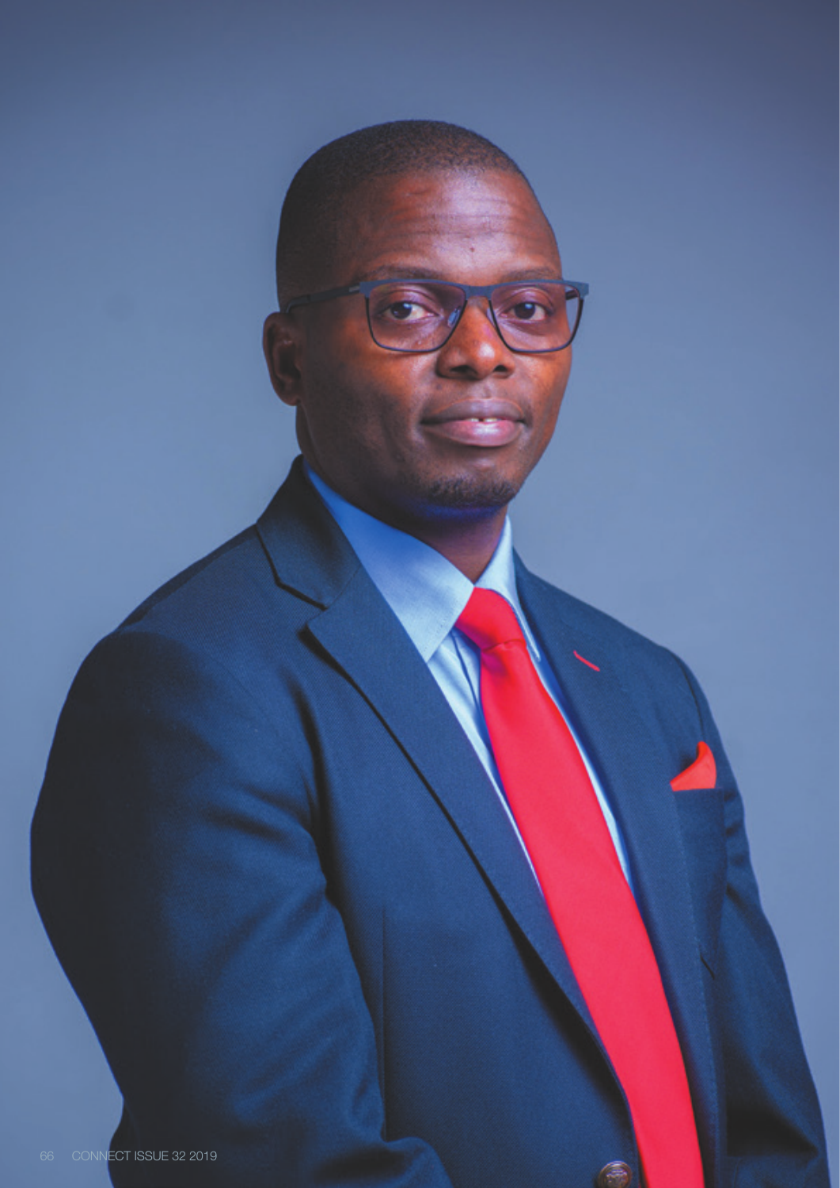